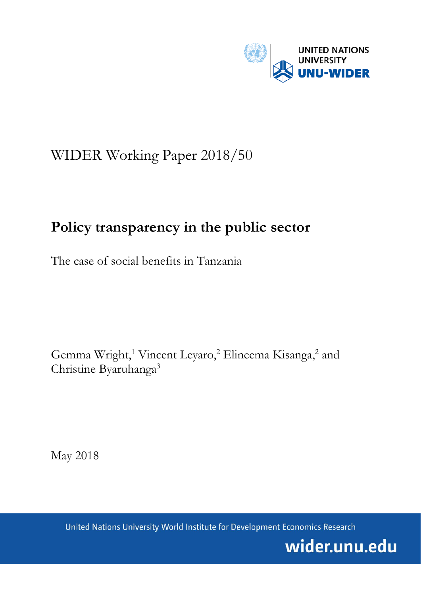

# WIDER Working Paper 2018/50

## **Policy transparency in the public sector**

The case of social benefits in Tanzania

Gemma Wright,<sup>1</sup> Vincent Leyaro,<sup>2</sup> Elineema Kisanga,<sup>2</sup> and Christine Byaruhanga<sup>3</sup>

May 2018

United Nations University World Institute for Development Economics Research

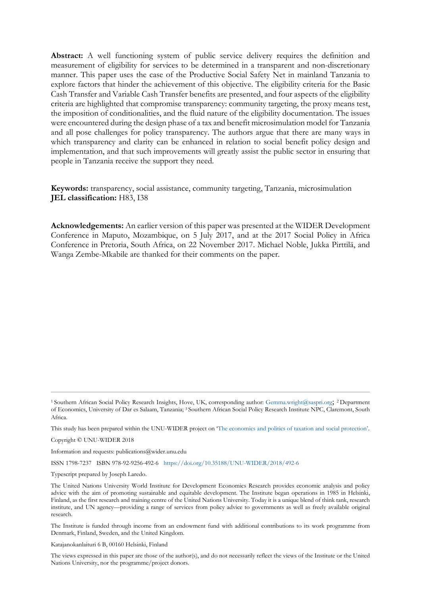**Abstract:** A well functioning system of public service delivery requires the definition and measurement of eligibility for services to be determined in a transparent and non-discretionary manner. This paper uses the case of the Productive Social Safety Net in mainland Tanzania to explore factors that hinder the achievement of this objective. The eligibility criteria for the Basic Cash Transfer and Variable Cash Transfer benefits are presented, and four aspects of the eligibility criteria are highlighted that compromise transparency: community targeting, the proxy means test, the imposition of conditionalities, and the fluid nature of the eligibility documentation. The issues were encountered during the design phase of a tax and benefit microsimulation model for Tanzania and all pose challenges for policy transparency. The authors argue that there are many ways in which transparency and clarity can be enhanced in relation to social benefit policy design and implementation, and that such improvements will greatly assist the public sector in ensuring that people in Tanzania receive the support they need.

**Keywords:** transparency, social assistance, community targeting, Tanzania, microsimulation **JEL classification:** H83, I38

**Acknowledgements:** An earlier version of this paper was presented at the WIDER Development Conference in Maputo, Mozambique, on 5 July 2017, and at the 2017 Social Policy in Africa Conference in Pretoria, South Africa, on 22 November 2017. Michael Noble, Jukka Pirttilä, and Wanga Zembe-Mkabile are thanked for their comments on the paper.

This study has been prepared within the UNU-WIDER project on 'The economics and [politics of taxation and social protection'.](https://www.wider.unu.edu/node/367) 

Copyright © UNU-WIDER 2018

Information and requests: publications@wider.unu.edu

ISSN 1798-7237 ISBN 978-92-9256-492-6 <https://doi.org/10.35188/UNU-WIDER/2018/492-6>

Typescript prepared by Joseph Laredo.

The Institute is funded through income from an endowment fund with additional contributions to its work programme from Denmark, Finland, Sweden, and the United Kingdom.

Katajanokanlaituri 6 B, 00160 Helsinki, Finland

The views expressed in this paper are those of the author(s), and do not necessarily reflect the views of the Institute or the United Nations University, nor the programme/project donors.

<sup>1</sup>Southern African Social Policy Research Insights, Hove, UK, corresponding author: [Gemma.wright@saspri.org](mailto:Gemma.wright@saspri.org); 2 Department of Economics, University of Dar es Salaam, Tanzania; 3 Southern African Social Policy Research Institute NPC, Claremont, South Africa.

The United Nations University World Institute for Development Economics Research provides economic analysis and policy advice with the aim of promoting sustainable and equitable development. The Institute began operations in 1985 in Helsinki, Finland, as the first research and training centre of the United Nations University. Today it is a unique blend of think tank, research institute, and UN agency—providing a range of services from policy advice to governments as well as freely available original research.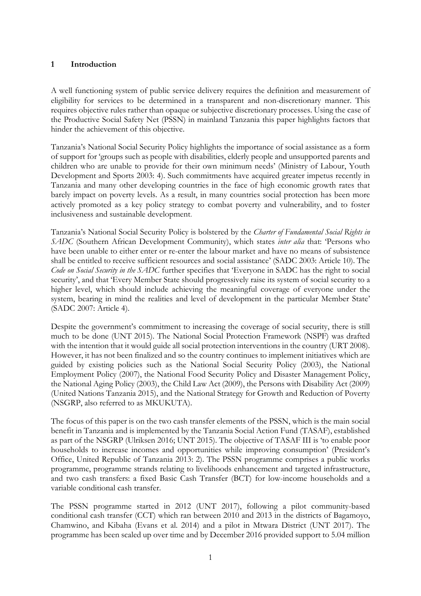#### **1 Introduction**

A well functioning system of public service delivery requires the definition and measurement of eligibility for services to be determined in a transparent and non-discretionary manner. This requires objective rules rather than opaque or subjective discretionary processes. Using the case of the Productive Social Safety Net (PSSN) in mainland Tanzania this paper highlights factors that hinder the achievement of this objective.

Tanzania's National Social Security Policy highlights the importance of social assistance as a form of support for 'groups such as people with disabilities, elderly people and unsupported parents and children who are unable to provide for their own minimum needs' (Ministry of Labour, Youth Development and Sports 2003: 4). Such commitments have acquired greater impetus recently in Tanzania and many other developing countries in the face of high economic growth rates that barely impact on poverty levels. As a result, in many countries social protection has been more actively promoted as a key policy strategy to combat poverty and vulnerability, and to foster inclusiveness and sustainable development.

Tanzania's National Social Security Policy is bolstered by the *Charter of Fundamental Social Rights in SADC* (Southern African Development Community), which states *inter alia* that: 'Persons who have been unable to either enter or re-enter the labour market and have no means of subsistence shall be entitled to receive sufficient resources and social assistance' (SADC 2003: Article 10). The *Code on Social Security in the SADC* further specifies that 'Everyone in SADC has the right to social security', and that 'Every Member State should progressively raise its system of social security to a higher level, which should include achieving the meaningful coverage of everyone under the system, bearing in mind the realities and level of development in the particular Member State' (SADC 2007: Article 4).

Despite the government's commitment to increasing the coverage of social security, there is still much to be done (UNT 2015). The National Social Protection Framework (NSPF) was drafted with the intention that it would guide all social protection interventions in the country (URT 2008). However, it has not been finalized and so the country continues to implement initiatives which are guided by existing policies such as the National Social Security Policy (2003), the National Employment Policy (2007), the National Food Security Policy and Disaster Management Policy, the National Aging Policy (2003), the Child Law Act (2009), the Persons with Disability Act (2009) (United Nations Tanzania 2015), and the National Strategy for Growth and Reduction of Poverty (NSGRP, also referred to as MKUKUTA).

The focus of this paper is on the two cash transfer elements of the PSSN, which is the main social benefit in Tanzania and is implemented by the Tanzania Social Action Fund (TASAF), established as part of the NSGRP (Ulriksen 2016; UNT 2015). The objective of TASAF III is 'to enable poor households to increase incomes and opportunities while improving consumption' (President's Office, United Republic of Tanzania 2013: 2). The PSSN programme comprises a public works programme, programme strands relating to livelihoods enhancement and targeted infrastructure, and two cash transfers: a fixed Basic Cash Transfer (BCT) for low-income households and a variable conditional cash transfer.

The PSSN programme started in 2012 (UNT 2017), following a pilot community-based conditional cash transfer (CCT) which ran between 2010 and 2013 in the districts of Bagamoyo, Chamwino, and Kibaha (Evans et al. 2014) and a pilot in Mtwara District (UNT 2017). The programme has been scaled up over time and by December 2016 provided support to 5.04 million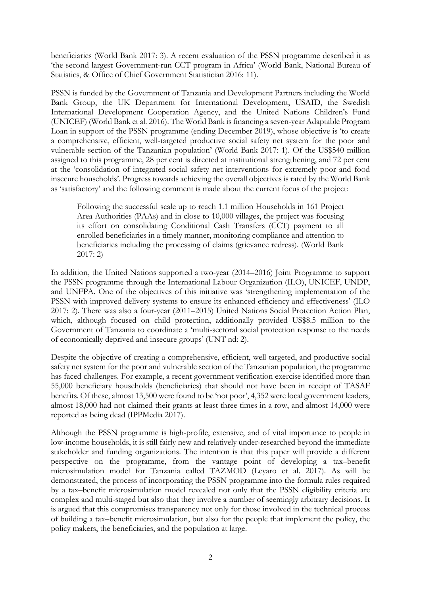beneficiaries (World Bank 2017: 3). A recent evaluation of the PSSN programme described it as 'the second largest Government-run CCT program in Africa' (World Bank, National Bureau of Statistics, & Office of Chief Government Statistician 2016: 11).

PSSN is funded by the Government of Tanzania and Development Partners including the World Bank Group, the UK Department for International Development, USAID, the Swedish International Development Cooperation Agency, and the United Nations Children's Fund (UNICEF) (World Bank et al. 2016). The World Bank is financing a seven-year Adaptable Program Loan in support of the PSSN programme (ending December 2019), whose objective is 'to create a comprehensive, efficient, well-targeted productive social safety net system for the poor and vulnerable section of the Tanzanian population' (World Bank 2017: 1). Of the US\$540 million assigned to this programme, 28 per cent is directed at institutional strengthening, and 72 per cent at the 'consolidation of integrated social safety net interventions for extremely poor and food insecure households'. Progress towards achieving the overall objectives is rated by the World Bank as 'satisfactory' and the following comment is made about the current focus of the project:

Following the successful scale up to reach 1.1 million Households in 161 Project Area Authorities (PAAs) and in close to 10,000 villages, the project was focusing its effort on consolidating Conditional Cash Transfers (CCT) payment to all enrolled beneficiaries in a timely manner, monitoring compliance and attention to beneficiaries including the processing of claims (grievance redress). (World Bank 2017: 2)

In addition, the United Nations supported a two-year (2014–2016) Joint Programme to support the PSSN programme through the International Labour Organization (ILO), UNICEF, UNDP, and UNFPA. One of the objectives of this initiative was 'strengthening implementation of the PSSN with improved delivery systems to ensure its enhanced efficiency and effectiveness' (ILO 2017: 2). There was also a four-year (2011–2015) United Nations Social Protection Action Plan, which, although focused on child protection, additionally provided US\$8.5 million to the Government of Tanzania to coordinate a 'multi-sectoral social protection response to the needs of economically deprived and insecure groups' (UNT nd: 2).

Despite the objective of creating a comprehensive, efficient, well targeted, and productive social safety net system for the poor and vulnerable section of the Tanzanian population, the programme has faced challenges. For example, a recent government verification exercise identified more than 55,000 beneficiary households (beneficiaries) that should not have been in receipt of TASAF benefits. Of these, almost 13,500 were found to be 'not poor', 4,352 were local government leaders, almost 18,000 had not claimed their grants at least three times in a row, and almost 14,000 were reported as being dead (IPPMedia 2017).

Although the PSSN programme is high-profile, extensive, and of vital importance to people in low-income households, it is still fairly new and relatively under-researched beyond the immediate stakeholder and funding organizations. The intention is that this paper will provide a different perspective on the programme, from the vantage point of developing a tax–benefit microsimulation model for Tanzania called TAZMOD (Leyaro et al. 2017). As will be demonstrated, the process of incorporating the PSSN programme into the formula rules required by a tax–benefit microsimulation model revealed not only that the PSSN eligibility criteria are complex and multi-staged but also that they involve a number of seemingly arbitrary decisions. It is argued that this compromises transparency not only for those involved in the technical process of building a tax–benefit microsimulation, but also for the people that implement the policy, the policy makers, the beneficiaries, and the population at large.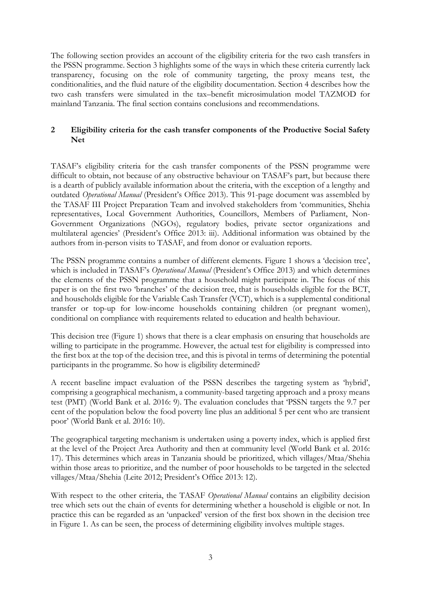The following section provides an account of the eligibility criteria for the two cash transfers in the PSSN programme. Section 3 highlights some of the ways in which these criteria currently lack transparency, focusing on the role of community targeting, the proxy means test, the conditionalities, and the fluid nature of the eligibility documentation. Section 4 describes how the two cash transfers were simulated in the tax–benefit microsimulation model TAZMOD for mainland Tanzania. The final section contains conclusions and recommendations.

### **2 Eligibility criteria for the cash transfer components of the Productive Social Safety Net**

TASAF's eligibility criteria for the cash transfer components of the PSSN programme were difficult to obtain, not because of any obstructive behaviour on TASAF's part, but because there is a dearth of publicly available information about the criteria, with the exception of a lengthy and outdated *Operational Manual* (President's Office 2013). This 91-page document was assembled by the TASAF III Project Preparation Team and involved stakeholders from 'communities, Shehia representatives, Local Government Authorities, Councillors, Members of Parliament, Non-Government Organizations (NGOs), regulatory bodies, private sector organizations and multilateral agencies' (President's Office 2013: iii). Additional information was obtained by the authors from in-person visits to TASAF, and from donor or evaluation reports.

The PSSN programme contains a number of different elements. Figure 1 shows a 'decision tree', which is included in TASAF's *Operational Manual* (President's Office 2013) and which determines the elements of the PSSN programme that a household might participate in. The focus of this paper is on the first two 'branches' of the decision tree, that is households eligible for the BCT, and households eligible for the Variable Cash Transfer (VCT), which is a supplemental conditional transfer or top-up for low-income households containing children (or pregnant women), conditional on compliance with requirements related to education and health behaviour.

This decision tree (Figure 1) shows that there is a clear emphasis on ensuring that households are willing to participate in the programme. However, the actual test for eligibility is compressed into the first box at the top of the decision tree, and this is pivotal in terms of determining the potential participants in the programme. So how is eligibility determined?

A recent baseline impact evaluation of the PSSN describes the targeting system as 'hybrid', comprising a geographical mechanism, a community-based targeting approach and a proxy means test (PMT) (World Bank et al. 2016: 9). The evaluation concludes that 'PSSN targets the 9.7 per cent of the population below the food poverty line plus an additional 5 per cent who are transient poor' (World Bank et al. 2016: 10).

The geographical targeting mechanism is undertaken using a poverty index, which is applied first at the level of the Project Area Authority and then at community level (World Bank et al. 2016: 17). This determines which areas in Tanzania should be prioritized, which villages/Mtaa/Shehia within those areas to prioritize, and the number of poor households to be targeted in the selected villages/Mtaa/Shehia (Leite 2012; President's Office 2013: 12).

With respect to the other criteria, the TASAF *Operational Manual* contains an eligibility decision tree which sets out the chain of events for determining whether a household is eligible or not. In practice this can be regarded as an 'unpacked' version of the first box shown in the decision tree in Figure 1. As can be seen, the process of determining eligibility involves multiple stages.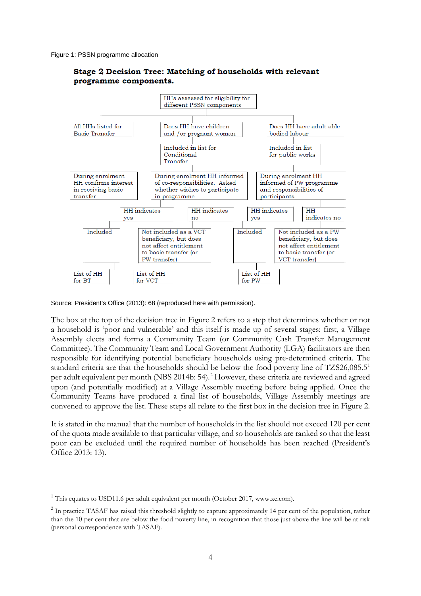Figure 1: PSSN programme allocation



#### Stage 2 Decision Tree: Matching of households with relevant programme components.

Source: President's Office (2013): 68 (reproduced here with permission).

The box at the top of the decision tree in Figure 2 refers to a step that determines whether or not a household is 'poor and vulnerable' and this itself is made up of several stages: first, a Village Assembly elects and forms a Community Team (or Community Cash Transfer Management Committee). The Community Team and Local Government Authority (LGA) facilitators are then responsible for identifying potential beneficiary households using pre-determined criteria. The standard criteria are that the households should be below the food poverty line of TZS26,085.5<sup>[1](#page-5-0)</sup> per adult equivalent per month (NBS 2014b: 54). [2](#page-5-1) However, these criteria are reviewed and agreed upon (and potentially modified) at a Village Assembly meeting before being applied. Once the Community Teams have produced a final list of households, Village Assembly meetings are convened to approve the list. These steps all relate to the first box in the decision tree in Figure 2.

It is stated in the manual that the number of households in the list should not exceed 120 per cent of the quota made available to that particular village, and so households are ranked so that the least poor can be excluded until the required number of households has been reached (President's Office 2013: 13).

-

<span id="page-5-0"></span> $1$  This equates to USD11.6 per adult equivalent per month (October 2017, www.xe.com).

<span id="page-5-1"></span><sup>&</sup>lt;sup>2</sup> In practice TASAF has raised this threshold slightly to capture approximately 14 per cent of the population, rather than the 10 per cent that are below the food poverty line, in recognition that those just above the line will be at risk (personal correspondence with TASAF).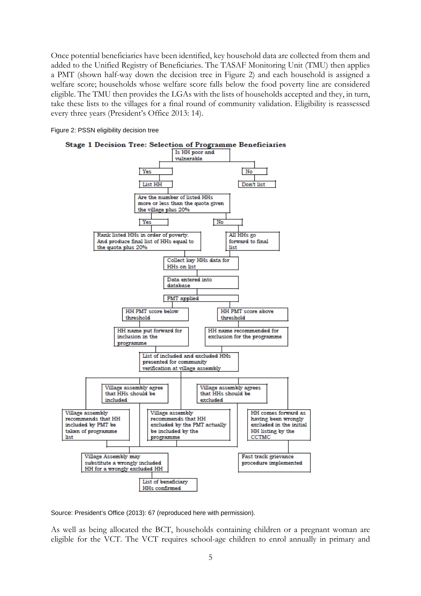Once potential beneficiaries have been identified, key household data are collected from them and added to the Unified Registry of Beneficiaries. The TASAF Monitoring Unit (TMU) then applies a PMT (shown half-way down the decision tree in Figure 2) and each household is assigned a welfare score; households whose welfare score falls below the food poverty line are considered eligible. The TMU then provides the LGAs with the lists of households accepted and they, in turn, take these lists to the villages for a final round of community validation. Eligibility is reassessed every three years (President's Office 2013: 14).

Figure 2: PSSN eligibility decision tree



Source: President's Office (2013): 67 (reproduced here with permission).

As well as being allocated the BCT, households containing children or a pregnant woman are eligible for the VCT. The VCT requires school-age children to enrol annually in primary and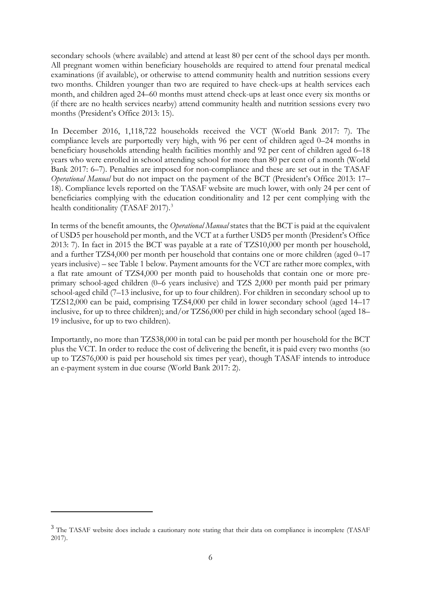secondary schools (where available) and attend at least 80 per cent of the school days per month. All pregnant women within beneficiary households are required to attend four prenatal medical examinations (if available), or otherwise to attend community health and nutrition sessions every two months. Children younger than two are required to have check-ups at health services each month, and children aged 24–60 months must attend check-ups at least once every six months or (if there are no health services nearby) attend community health and nutrition sessions every two months (President's Office 2013: 15).

In December 2016, 1,118,722 households received the VCT (World Bank 2017: 7). The compliance levels are purportedly very high, with 96 per cent of children aged 0–24 months in beneficiary households attending health facilities monthly and 92 per cent of children aged 6–18 years who were enrolled in school attending school for more than 80 per cent of a month (World Bank 2017: 6–7). Penalties are imposed for non-compliance and these are set out in the TASAF *Operational Manual* but do not impact on the payment of the BCT (President's Office 2013: 17– 18). Compliance levels reported on the TASAF website are much lower, with only 24 per cent of beneficiaries complying with the education conditionality and 12 per cent complying with the health conditionality (TASAF 2017).<sup>[3](#page-7-0)</sup>

In terms of the benefit amounts, the *Operational Manual* states that the BCT is paid at the equivalent of USD5 per household per month, and the VCT at a further USD5 per month (President's Office 2013: 7). In fact in 2015 the BCT was payable at a rate of TZS10,000 per month per household, and a further TZS4,000 per month per household that contains one or more children (aged 0–17 years inclusive) – see Table 1 below. Payment amounts for the VCT are rather more complex, with a flat rate amount of TZS4,000 per month paid to households that contain one or more preprimary school-aged children (0–6 years inclusive) and TZS 2,000 per month paid per primary school-aged child (7–13 inclusive, for up to four children). For children in secondary school up to TZS12,000 can be paid, comprising TZS4,000 per child in lower secondary school (aged 14–17 inclusive, for up to three children); and/or TZS6,000 per child in high secondary school (aged 18– 19 inclusive, for up to two children).

Importantly, no more than TZS38,000 in total can be paid per month per household for the BCT plus the VCT. In order to reduce the cost of delivering the benefit, it is paid every two months (so up to TZS76,000 is paid per household six times per year), though TASAF intends to introduce an e-payment system in due course (World Bank 2017: 2).

<u>.</u>

<span id="page-7-0"></span><sup>&</sup>lt;sup>3</sup> The TASAF website does include a cautionary note stating that their data on compliance is incomplete (TASAF 2017).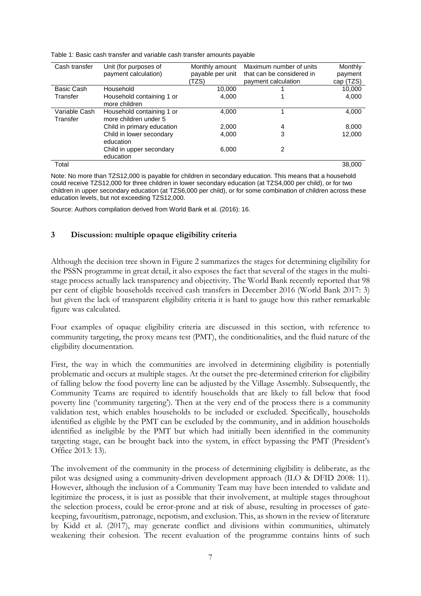| Cash transfer | Unit (for purposes of      | Monthly amount   | Maximum number of units   | Monthly   |
|---------------|----------------------------|------------------|---------------------------|-----------|
|               | payment calculation)       | payable per unit | that can be considered in | payment   |
|               |                            | (TZS)            | payment calculation       | cap (TZS) |
| Basic Cash    | Household                  | 10.000           |                           | 10,000    |
| Transfer      | Household containing 1 or  | 4.000            |                           | 4,000     |
|               | more children              |                  |                           |           |
| Variable Cash | Household containing 1 or  | 4.000            |                           | 4,000     |
| Transfer      | more children under 5      |                  |                           |           |
|               | Child in primary education | 2.000            | 4                         | 8,000     |
|               | Child in lower secondary   | 4.000            | 3                         | 12.000    |
|               | education                  |                  |                           |           |
|               | Child in upper secondary   | 6,000            | 2                         |           |
|               | education                  |                  |                           |           |
| Total         |                            |                  |                           | 38,000    |

Table 1: Basic cash transfer and variable cash transfer amounts payable

Note: No more than TZS12,000 is payable for children in secondary education. This means that a household could receive TZS12,000 for three children in lower secondary education (at TZS4,000 per child), or for two children in upper secondary education (at TZS6,000 per child), or for some combination of children across these education levels, but not exceeding TZS12,000.

Source: Authors compilation derived from World Bank et al. (2016): 16.

### **3 Discussion: multiple opaque eligibility criteria**

Although the decision tree shown in Figure 2 summarizes the stages for determining eligibility for the PSSN programme in great detail, it also exposes the fact that several of the stages in the multistage process actually lack transparency and objectivity. The World Bank recently reported that 98 per cent of eligible households received cash transfers in December 2016 (World Bank 2017: 3) but given the lack of transparent eligibility criteria it is hard to gauge how this rather remarkable figure was calculated.

Four examples of opaque eligibility criteria are discussed in this section, with reference to community targeting, the proxy means test (PMT), the conditionalities, and the fluid nature of the eligibility documentation.

First, the way in which the communities are involved in determining eligibility is potentially problematic and occurs at multiple stages. At the outset the pre-determined criterion for eligibility of falling below the food poverty line can be adjusted by the Village Assembly. Subsequently, the Community Teams are required to identify households that are likely to fall below that food poverty line ('community targeting'). Then at the very end of the process there is a community validation test, which enables households to be included or excluded. Specifically, households identified as eligible by the PMT can be excluded by the community, and in addition households identified as ineligible by the PMT but which had initially been identified in the community targeting stage, can be brought back into the system, in effect bypassing the PMT (President's Office 2013: 13).

The involvement of the community in the process of determining eligibility is deliberate, as the pilot was designed using a community-driven development approach (ILO & DFID 2008: 11). However, although the inclusion of a Community Team may have been intended to validate and legitimize the process, it is just as possible that their involvement, at multiple stages throughout the selection process, could be error-prone and at risk of abuse, resulting in processes of gatekeeping, favouritism, patronage, nepotism, and exclusion. This, as shown in the review of literature by Kidd et al. (2017), may generate conflict and divisions within communities, ultimately weakening their cohesion. The recent evaluation of the programme contains hints of such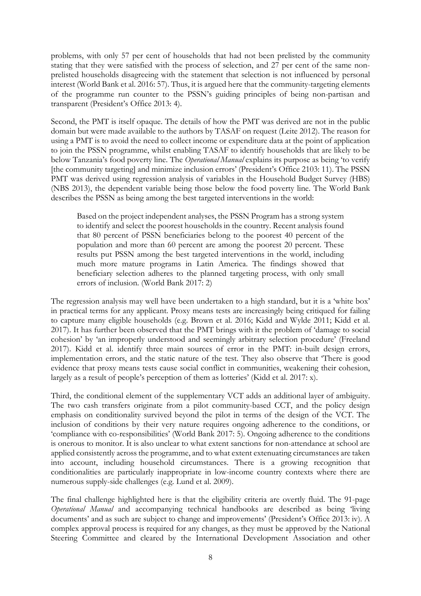problems, with only 57 per cent of households that had not been prelisted by the community stating that they were satisfied with the process of selection, and 27 per cent of the same nonprelisted households disagreeing with the statement that selection is not influenced by personal interest (World Bank et al. 2016: 57). Thus, it is argued here that the community-targeting elements of the programme run counter to the PSSN's guiding principles of being non-partisan and transparent (President's Office 2013: 4).

Second, the PMT is itself opaque. The details of how the PMT was derived are not in the public domain but were made available to the authors by TASAF on request (Leite 2012). The reason for using a PMT is to avoid the need to collect income or expenditure data at the point of application to join the PSSN programme, whilst enabling TASAF to identify households that are likely to be below Tanzania's food poverty line. The *Operational Manual* explains its purpose as being 'to verify [the community targeting] and minimize inclusion errors' (President's Office 2103: 11). The PSSN PMT was derived using regression analysis of variables in the Household Budget Survey (HBS) (NBS 2013), the dependent variable being those below the food poverty line. The World Bank describes the PSSN as being among the best targeted interventions in the world:

Based on the project independent analyses, the PSSN Program has a strong system to identify and select the poorest households in the country. Recent analysis found that 80 percent of PSSN beneficiaries belong to the poorest 40 percent of the population and more than 60 percent are among the poorest 20 percent. These results put PSSN among the best targeted interventions in the world, including much more mature programs in Latin America. The findings showed that beneficiary selection adheres to the planned targeting process, with only small errors of inclusion. (World Bank 2017: 2)

The regression analysis may well have been undertaken to a high standard, but it is a 'white box' in practical terms for any applicant. Proxy means tests are increasingly being critiqued for failing to capture many eligible households (e.g. Brown et al. 2016; Kidd and Wylde 2011; Kidd et al. 2017). It has further been observed that the PMT brings with it the problem of 'damage to social cohesion' by 'an improperly understood and seemingly arbitrary selection procedure' (Freeland 2017). Kidd et al. identify three main sources of error in the PMT: in-built design errors, implementation errors, and the static nature of the test. They also observe that 'There is good evidence that proxy means tests cause social conflict in communities, weakening their cohesion, largely as a result of people's perception of them as lotteries' (Kidd et al. 2017: x).

Third, the conditional element of the supplementary VCT adds an additional layer of ambiguity. The two cash transfers originate from a pilot community-based CCT, and the policy design emphasis on conditionality survived beyond the pilot in terms of the design of the VCT. The inclusion of conditions by their very nature requires ongoing adherence to the conditions, or 'compliance with co-responsibilities' (World Bank 2017: 5). Ongoing adherence to the conditions is onerous to monitor. It is also unclear to what extent sanctions for non-attendance at school are applied consistently across the programme, and to what extent extenuating circumstances are taken into account, including household circumstances. There is a growing recognition that conditionalities are particularly inappropriate in low-income country contexts where there are numerous supply-side challenges (e.g. Lund et al. 2009).

The final challenge highlighted here is that the eligibility criteria are overtly fluid. The 91-page *Operational Manual* and accompanying technical handbooks are described as being 'living documents' and as such are subject to change and improvements' (President's Office 2013: iv). A complex approval process is required for any changes, as they must be approved by the National Steering Committee and cleared by the International Development Association and other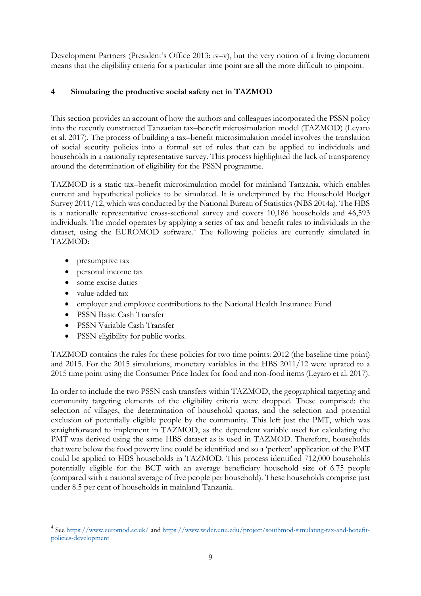Development Partners (President's Office 2013: iv–v), but the very notion of a living document means that the eligibility criteria for a particular time point are all the more difficult to pinpoint.

### **4 Simulating the productive social safety net in TAZMOD**

This section provides an account of how the authors and colleagues incorporated the PSSN policy into the recently constructed Tanzanian tax–benefit microsimulation model (TAZMOD) (Leyaro et al. 2017). The process of building a tax–benefit microsimulation model involves the translation of social security policies into a formal set of rules that can be applied to individuals and households in a nationally representative survey. This process highlighted the lack of transparency around the determination of eligibility for the PSSN programme.

TAZMOD is a static tax–benefit microsimulation model for mainland Tanzania, which enables current and hypothetical policies to be simulated. It is underpinned by the Household Budget Survey 2011/12, which was conducted by the National Bureau of Statistics (NBS 2014a). The HBS is a nationally representative cross-sectional survey and covers 10,186 households and 46,593 individuals. The model operates by applying a series of tax and benefit rules to individuals in the dataset, using the EUROMOD software.<sup>[4](#page-10-0)</sup> The following policies are currently simulated in TAZMOD:

- presumptive tax
- personal income tax
- some excise duties
- value-added tax

<u>.</u>

- employer and employee contributions to the National Health Insurance Fund
- PSSN Basic Cash Transfer
- PSSN Variable Cash Transfer
- PSSN eligibility for public works.

TAZMOD contains the rules for these policies for two time points: 2012 (the baseline time point) and 2015. For the 2015 simulations, monetary variables in the HBS 2011/12 were uprated to a 2015 time point using the Consumer Price Index for food and non-food items (Leyaro et al. 2017).

In order to include the two PSSN cash transfers within TAZMOD, the geographical targeting and community targeting elements of the eligibility criteria were dropped. These comprised: the selection of villages, the determination of household quotas, and the selection and potential exclusion of potentially eligible people by the community. This left just the PMT, which was straightforward to implement in TAZMOD, as the dependent variable used for calculating the PMT was derived using the same HBS dataset as is used in TAZMOD. Therefore, households that were below the food poverty line could be identified and so a 'perfect' application of the PMT could be applied to HBS households in TAZMOD. This process identified 712,000 households potentially eligible for the BCT with an average beneficiary household size of 6.75 people (compared with a national average of five people per household). These households comprise just under 8.5 per cent of households in mainland Tanzania.

<span id="page-10-0"></span><sup>4</sup> See<https://www.euromod.ac.uk/> and [https://www.wider.unu.edu/project/southmod-simulating-tax-and-benefit](https://www.wider.unu.edu/project/southmod-simulating-tax-and-benefit-policies-development)[policies-development](https://www.wider.unu.edu/project/southmod-simulating-tax-and-benefit-policies-development)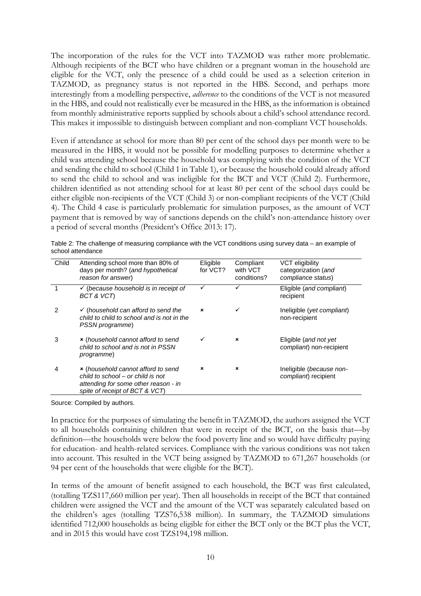The incorporation of the rules for the VCT into TAZMOD was rather more problematic. Although recipients of the BCT who have children or a pregnant woman in the household are eligible for the VCT, only the presence of a child could be used as a selection criterion in TAZMOD, as pregnancy status is not reported in the HBS. Second, and perhaps more interestingly from a modelling perspective, *adherence* to the conditions of the VCT is not measured in the HBS, and could not realistically ever be measured in the HBS, as the information is obtained from monthly administrative reports supplied by schools about a child's school attendance record. This makes it impossible to distinguish between compliant and non-compliant VCT households.

Even if attendance at school for more than 80 per cent of the school days per month were to be measured in the HBS, it would not be possible for modelling purposes to determine whether a child was attending school because the household was complying with the condition of the VCT and sending the child to school (Child 1 in Table 1), or because the household could already afford to send the child to school and was ineligible for the BCT and VCT (Child 2). Furthermore, children identified as not attending school for at least 80 per cent of the school days could be either eligible non-recipients of the VCT (Child 3) or non-compliant recipients of the VCT (Child 4). The Child 4 case is particularly problematic for simulation purposes, as the amount of VCT payment that is removed by way of sanctions depends on the child's non-attendance history over a period of several months (President's Office 2013: 17).

| Child | Attending school more than 80% of<br>days per month? (and hypothetical<br>reason for answer)                                                      | Eligible<br>for VCT?      | Compliant<br>with VCT<br>conditions? | <b>VCT eligibility</b><br>categorization (and<br>compliance status) |
|-------|---------------------------------------------------------------------------------------------------------------------------------------------------|---------------------------|--------------------------------------|---------------------------------------------------------------------|
|       | $\checkmark$ (because household is in receipt of<br>BCT & VCT)                                                                                    | ✓                         | ✓                                    | Eligible (and compliant)<br>recipient                               |
| 2     | $\checkmark$ (household can afford to send the<br>child to child to school and is not in the<br>PSSN programme)                                   | $\boldsymbol{\mathsf{x}}$ | ✓                                    | Ineligible (yet compliant)<br>non-recipient                         |
| 3     | * (household cannot afford to send<br>child to school and is not in PSSN<br>programme)                                                            | ✓                         | ×                                    | Eligible (and not yet<br>compliant) non-recipient                   |
| 4     | * (household cannot afford to send<br>child to school – or child is not<br>attending for some other reason - in<br>spite of receipt of BCT & VCT) | $\pmb{\times}$            | ×                                    | Ineligible (because non-<br>compliant) recipient                    |

Table 2: The challenge of measuring compliance with the VCT conditions using survey data – an example of school attendance

Source: Compiled by authors.

In practice for the purposes of simulating the benefit in TAZMOD, the authors assigned the VCT to all households containing children that were in receipt of the BCT, on the basis that—by definition—the households were below the food poverty line and so would have difficulty paying for education- and health-related services. Compliance with the various conditions was not taken into account. This resulted in the VCT being assigned by TAZMOD to 671,267 households (or 94 per cent of the households that were eligible for the BCT).

In terms of the amount of benefit assigned to each household, the BCT was first calculated, (totalling TZS117,660 million per year). Then all households in receipt of the BCT that contained children were assigned the VCT and the amount of the VCT was separately calculated based on the children's ages (totalling TZS76,538 million). In summary, the TAZMOD simulations identified 712,000 households as being eligible for either the BCT only or the BCT plus the VCT, and in 2015 this would have cost TZS194,198 million.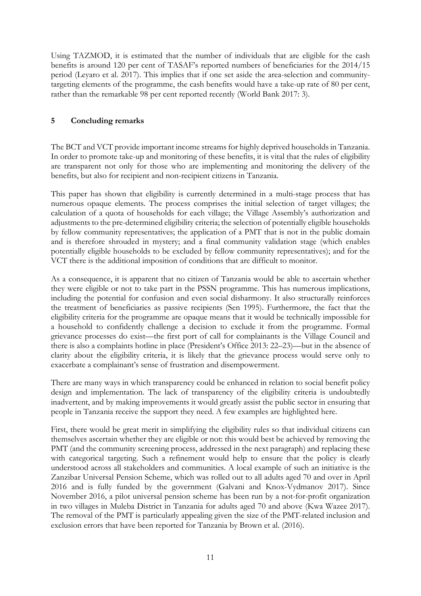Using TAZMOD, it is estimated that the number of individuals that are eligible for the cash benefits is around 120 per cent of TASAF's reported numbers of beneficiaries for the 2014/15 period (Leyaro et al. 2017). This implies that if one set aside the area-selection and communitytargeting elements of the programme, the cash benefits would have a take-up rate of 80 per cent, rather than the remarkable 98 per cent reported recently (World Bank 2017: 3).

#### **5 Concluding remarks**

The BCT and VCT provide important income streams for highly deprived households in Tanzania. In order to promote take-up and monitoring of these benefits, it is vital that the rules of eligibility are transparent not only for those who are implementing and monitoring the delivery of the benefits, but also for recipient and non-recipient citizens in Tanzania.

This paper has shown that eligibility is currently determined in a multi-stage process that has numerous opaque elements. The process comprises the initial selection of target villages; the calculation of a quota of households for each village; the Village Assembly's authorization and adjustments to the pre-determined eligibility criteria; the selection of potentially eligible households by fellow community representatives; the application of a PMT that is not in the public domain and is therefore shrouded in mystery; and a final community validation stage (which enables potentially eligible households to be excluded by fellow community representatives); and for the VCT there is the additional imposition of conditions that are difficult to monitor.

As a consequence, it is apparent that no citizen of Tanzania would be able to ascertain whether they were eligible or not to take part in the PSSN programme. This has numerous implications, including the potential for confusion and even social disharmony. It also structurally reinforces the treatment of beneficiaries as passive recipients (Sen 1995). Furthermore, the fact that the eligibility criteria for the programme are opaque means that it would be technically impossible for a household to confidently challenge a decision to exclude it from the programme. Formal grievance processes do exist—the first port of call for complainants is the Village Council and there is also a complaints hotline in place (President's Office 2013: 22–23)—but in the absence of clarity about the eligibility criteria, it is likely that the grievance process would serve only to exacerbate a complainant's sense of frustration and disempowerment.

There are many ways in which transparency could be enhanced in relation to social benefit policy design and implementation. The lack of transparency of the eligibility criteria is undoubtedly inadvertent, and by making improvements it would greatly assist the public sector in ensuring that people in Tanzania receive the support they need. A few examples are highlighted here.

First, there would be great merit in simplifying the eligibility rules so that individual citizens can themselves ascertain whether they are eligible or not: this would best be achieved by removing the PMT (and the community screening process, addressed in the next paragraph) and replacing these with categorical targeting. Such a refinement would help to ensure that the policy is clearly understood across all stakeholders and communities. A local example of such an initiative is the Zanzibar Universal Pension Scheme, which was rolled out to all adults aged 70 and over in April 2016 and is fully funded by the government (Galvani and Knox-Vydmanov 2017). Since November 2016, a pilot universal pension scheme has been run by a not-for-profit organization in two villages in Muleba District in Tanzania for adults aged 70 and above (Kwa Wazee 2017). The removal of the PMT is particularly appealing given the size of the PMT-related inclusion and exclusion errors that have been reported for Tanzania by Brown et al. (2016).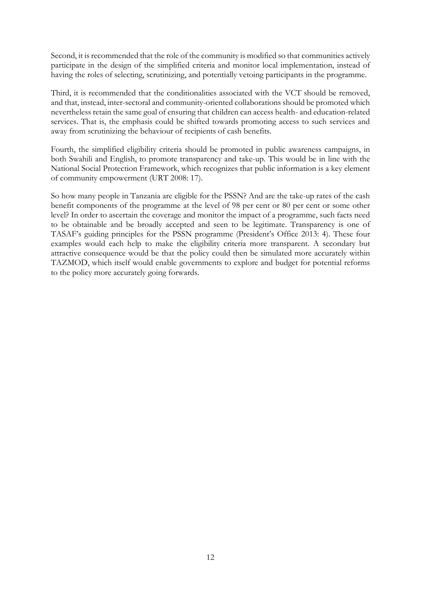Second, it is recommended that the role of the community is modified so that communities actively participate in the design of the simplified criteria and monitor local implementation, instead of having the roles of selecting, scrutinizing, and potentially vetoing participants in the programme.

Third, it is recommended that the conditionalities associated with the VCT should be removed, and that, instead, inter-sectoral and community-oriented collaborations should be promoted which nevertheless retain the same goal of ensuring that children can access health- and education-related services. That is, the emphasis could be shifted towards promoting access to such services and away from scrutinizing the behaviour of recipients of cash benefits.

Fourth, the simplified eligibility criteria should be promoted in public awareness campaigns, in both Swahili and English, to promote transparency and take-up. This would be in line with the National Social Protection Framework, which recognizes that public information is a key element of community empowerment (URT 2008: 17).

So how many people in Tanzania are eligible for the PSSN? And are the take-up rates of the cash benefit components of the programme at the level of 98 per cent or 80 per cent or some other level? In order to ascertain the coverage and monitor the impact of a programme, such facts need to be obtainable and be broadly accepted and seen to be legitimate. Transparency is one of TASAF's guiding principles for the PSSN programme (President's Office 2013: 4). These four examples would each help to make the eligibility criteria more transparent. A secondary but attractive consequence would be that the policy could then be simulated more accurately within TAZMOD, which itself would enable governments to explore and budget for potential reforms to the policy more accurately going forwards.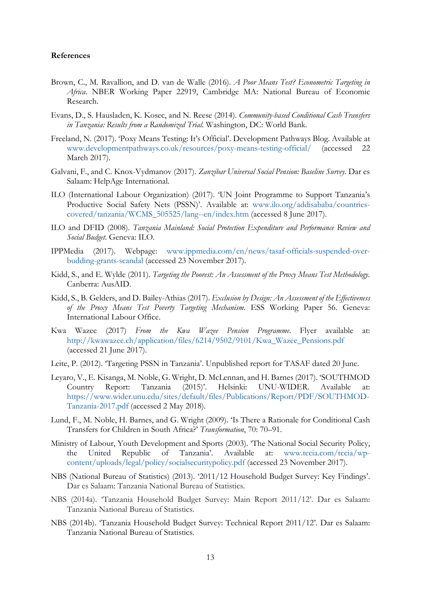#### **References**

- Brown, C., M. Ravallion, and D. van de Walle (2016). *A Poor Means Test? Econometric Targeting in Africa*. NBER Working Paper 22919, Cambridge MA: National Bureau of Economic Research.
- Evans, D., S. Hausladen, K. Kosec, and N. Reese (2014). *Community-based Conditional Cash Transfers in Tanzania: Results from a Randomized Trial.* Washington, DC: World Bank.
- Freeland, N. (2017). 'Poxy Means Testing: It's Official'. Development Pathways Blog. Available at [www.developmentpathways.co.uk/resources/poxy-means-testing-official/](http://www.developmentpathways.co.uk/resources/poxy-means-testing-official/) (accessed 22 March 2017).
- Galvani, F., and C. Knox-Vydmanov (2017). *Zanzibar Universal Social Pension: Baseline Survey*. Dar es Salaam: HelpAge International.
- ILO (International Labour Organization) (2017). 'UN Joint Programme to Support Tanzania's Productive Social Safety Nets (PSSN)'. Available at: [www.ilo.org/addisababa/countries](http://www.ilo.org/addisababa/countries-covered/tanzania/WCMS_505525/lang--en/index.htm)[covered/tanzania/WCMS\\_505525/lang--en/index.htm](http://www.ilo.org/addisababa/countries-covered/tanzania/WCMS_505525/lang--en/index.htm) (accessed 8 June 2017).
- ILO and DFID (2008). *Tanzania Mainland: Social Protection Expenditure and Performance Review and Social Budget*. Geneva: ILO.
- IPPMedia (2017). Webpage: [www.ippmedia.com/en/news/tasaf-officials-suspended-over](http://www.ippmedia.com/en/news/tasaf-officials-suspended-over-budding-grants-scandal)[budding-grants-scandal](http://www.ippmedia.com/en/news/tasaf-officials-suspended-over-budding-grants-scandal) (accessed 23 November 2017).
- Kidd, S., and E. Wylde (2011). *Targeting the Poorest: An Assessment of the Proxy Means Test Methodology*. Canberra: AusAID.
- Kidd, S., B. Gelders, and D. Bailey-Athias (2017). *Exclusion by Design: An Assessment of the Effectiveness of the Proxy Means Test Poverty Targeting Mechanism*. ESS Working Paper 56. Geneva: International Labour Office.
- Kwa Wazee (2017) *From the Kwa Wazee Pension Programme*. Flyer available at: [http://kwawazee.ch/application/files/6214/9502/9101/Kwa\\_Wazee\\_Pensions.pdf](http://kwawazee.ch/application/files/6214/9502/9101/Kwa_Wazee_Pensions.pdf) (accessed 21 June 2017).
- Leite, P. (2012). 'Targeting PSSN in Tanzania'. Unpublished report for TASAF dated 20 June.
- Leyaro, V., E. Kisanga, M. Noble, G. Wright, D. McLennan, and H. Barnes (2017). 'SOUTHMOD Country Report: Tanzania (2015)'. Helsinki: UNU-WIDER. Available [https://www.wider.unu.edu/sites/default/files/Publications/Report/PDF/SOUTHMOD-](https://www.wider.unu.edu/sites/default/files/Publications/Report/PDF/SOUTHMOD-Tanzania-2017.pdf)[Tanzania-2017.pdf](https://www.wider.unu.edu/sites/default/files/Publications/Report/PDF/SOUTHMOD-Tanzania-2017.pdf) (accessed 2 May 2018).
- Lund, F., M. Noble, H. Barnes, and G. Wright (2009). 'Is There a Rationale for Conditional Cash Transfers for Children in South Africa?' *Transformation*, 70: 70–91.
- Ministry of Labour, Youth Development and Sports (2003). 'The National Social Security Policy, the United Republic of Tanzania'. Available at: [www.tccia.com/tccia/wp](http://www.tccia.com/tccia/wp-content/uploads/legal/policy/socialsecuritypolicy.pdf)[content/uploads/legal/policy/socialsecuritypolicy.pdf](http://www.tccia.com/tccia/wp-content/uploads/legal/policy/socialsecuritypolicy.pdf) (accessed 23 November 2017).
- NBS (National Bureau of Statistics) (2013). '2011/12 Household Budget Survey: Key Findings'. Dar es Salaam: Tanzania National Bureau of Statistics.
- NBS (2014a). 'Tanzania Household Budget Survey: Main Report 2011/12'. Dar es Salaam: Tanzania National Bureau of Statistics.
- NBS (2014b). 'Tanzania Household Budget Survey: Technical Report 2011/12'. Dar es Salaam: Tanzania National Bureau of Statistics.